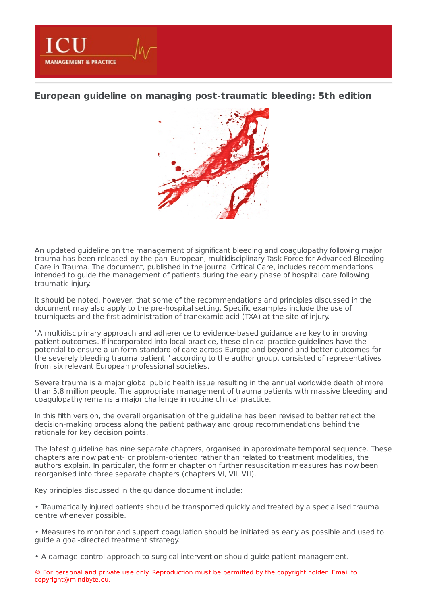**European guideline on managing [post-traumatic](https://www.healthmanagement.org/s/european-guideline-on-managing-post-traumatic-bleeding-5th-edition) bleeding: 5th edition**

**MANAGEMENT & PRACTICE** 



An updated guideline on the management of significant bleeding and coagulopathy following major trauma has been released by the pan-European, multidisciplinary Task Force for Advanced Bleeding Care in Trauma. The document, published in the journal Critical Care, includes recommendations intended to guide the management of patients during the early phase of hospital care following traumatic injury.

It should be noted, however, that some of the recommendations and principles discussed in the document may also apply to the pre-hospital setting. Specific examples include the use of tourniquets and the first administration of tranexamic acid (TXA) at the site of injury.

"A multidisciplinary approach and adherence to evidence-based guidance are key to improving patient outcomes. If incorporated into local practice, these clinical practice guidelines have the potential to ensure a uniform standard of care across Europe and beyond and better outcomes for the severely bleeding trauma patient," according to the author group, consisted of representatives from six relevant European professional societies.

Severe trauma is a major global public health issue resulting in the annual worldwide death of more than 5.8 million people. The appropriate management of trauma patients with massive bleeding and coagulopathy remains a major challenge in routine clinical practice.

In this fifth version, the overall organisation of the guideline has been revised to better reflect the decision-making process along the patient pathway and group recommendations behind the rationale for key decision points.

The latest guideline has nine separate chapters, organised in approximate temporal sequence. These chapters are now patient- or problem-oriented rather than related to treatment modalities, the authors explain. In particular, the former chapter on further resuscitation measures has now been reorganised into three separate chapters (chapters VI, VII, VIII).

Key principles discussed in the guidance document include:

• Traumatically injured patients should be transported quickly and treated by a specialised trauma centre whenever possible.

• Measures to monitor and support coagulation should be initiated as early as possible and used to guide a goal-directed treatment strategy.

• A damage-control approach to surgical intervention should guide patient management.

© For personal and private use only. Reproduction must be permitted by the copyright holder. Email to copyright@mindbyte.eu.